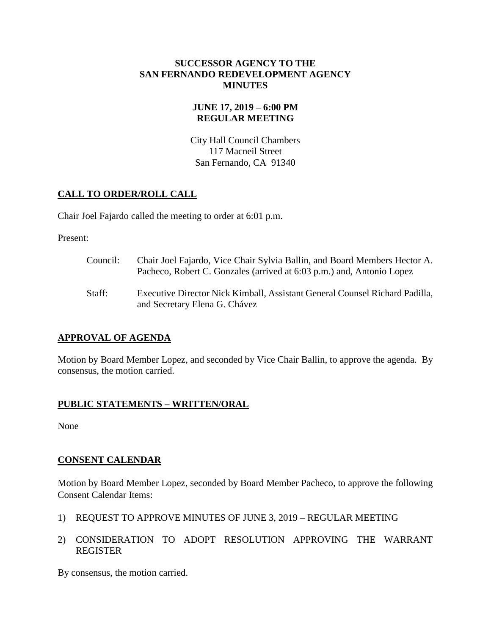#### **SUCCESSOR AGENCY TO THE SAN FERNANDO REDEVELOPMENT AGENCY MINUTES**

## **JUNE 17, 2019 – 6:00 PM REGULAR MEETING**

City Hall Council Chambers 117 Macneil Street San Fernando, CA 91340

# **CALL TO ORDER/ROLL CALL**

Chair Joel Fajardo called the meeting to order at 6:01 p.m.

Present:

- Council: Chair Joel Fajardo, Vice Chair Sylvia Ballin, and Board Members Hector A. Pacheco, Robert C. Gonzales (arrived at 6:03 p.m.) and, Antonio Lopez
- Staff: Executive Director Nick Kimball, Assistant General Counsel Richard Padilla, and Secretary Elena G. Chávez

## **APPROVAL OF AGENDA**

Motion by Board Member Lopez, and seconded by Vice Chair Ballin, to approve the agenda. By consensus, the motion carried.

## **PUBLIC STATEMENTS – WRITTEN/ORAL**

None

## **CONSENT CALENDAR**

Motion by Board Member Lopez, seconded by Board Member Pacheco, to approve the following Consent Calendar Items:

- 1) REQUEST TO APPROVE MINUTES OF JUNE 3, 2019 REGULAR MEETING
- 2) CONSIDERATION TO ADOPT RESOLUTION APPROVING THE WARRANT REGISTER

By consensus, the motion carried.